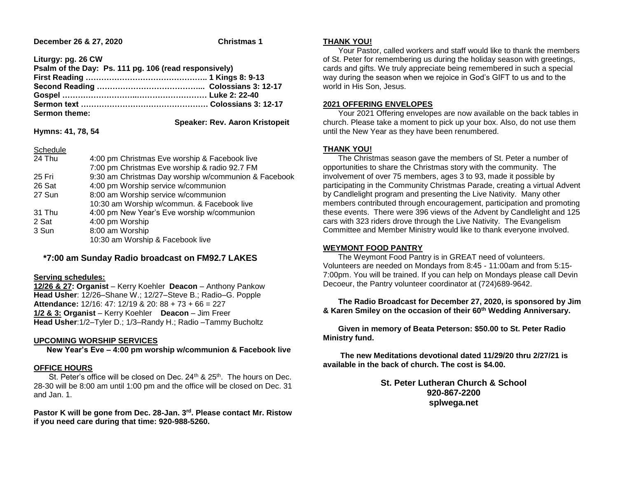### **December 26 & 27, 2020 Christmas 1**

**Liturgy: pg. 26 CW**

| Psalm of the Day: Ps. 111 pg. 106 (read responsively) |                                       |
|-------------------------------------------------------|---------------------------------------|
|                                                       |                                       |
|                                                       |                                       |
|                                                       |                                       |
|                                                       |                                       |
| <b>Sermon theme:</b>                                  |                                       |
|                                                       | <b>Speaker: Rev. Aaron Kristopeit</b> |

**Hymns: 41, 78, 54**

Schedule

| Schedule |                                                      |
|----------|------------------------------------------------------|
| 24 Thu   | 4:00 pm Christmas Eve worship & Facebook live        |
|          | 7:00 pm Christmas Eve worship & radio 92.7 FM        |
| 25 Fri   | 9:30 am Christmas Day worship w/communion & Facebook |
| 26 Sat   | 4:00 pm Worship service w/communion                  |

| 26 Sat | 4:00 pm Worship service w/communion        |
|--------|--------------------------------------------|
| 27 Sun | 8:00 am Worship service w/communion        |
|        | 10:30 am Worship w/commun. & Facebook live |
| 31 Thu | 4:00 pm New Year's Eve worship w/communion |
| 2 Sat  | 4:00 pm Worship                            |
| 3 Sun  | 8:00 am Worship                            |
|        | 10:30 am Worship & Facebook live           |

# **\*7:00 am Sunday Radio broadcast on FM92.7 LAKES**

#### **Serving schedules:**

**12/26 & 27: Organist** – Kerry Koehler **Deacon** – Anthony Pankow **Head Usher**: 12/26–Shane W.; 12/27–Steve B.; Radio–G. Popple **Attendance:** 12/16: 47: 12/19 & 20: 88 + 73 + 66 = 227 **1/2 & 3: Organist** – Kerry Koehler **Deacon** – Jim Freer **Head Usher**:1/2–Tyler D.; 1/3–Randy H.; Radio –Tammy Bucholtz

## **UPCOMING WORSHIP SERVICES**

 **New Year's Eve – 4:00 pm worship w/communion & Facebook live**

### **OFFICE HOURS**

St. Peter's office will be closed on Dec. 24<sup>th</sup> & 25<sup>th</sup>. The hours on Dec. 28-30 will be 8:00 am until 1:00 pm and the office will be closed on Dec. 31 and Jan. 1.

**Pastor K will be gone from Dec. 28-Jan. 3rd. Please contact Mr. Ristow if you need care during that time: 920-988-5260.**

### **THANK YOU!**

 Your Pastor, called workers and staff would like to thank the members of St. Peter for remembering us during the holiday season with greetings, cards and gifts. We truly appreciate being remembered in such a special way during the season when we rejoice in God's GIFT to us and to the world in His Son, Jesus.

### **2021 OFFERING ENVELOPES**

 Your 2021 Offering envelopes are now available on the back tables in church. Please take a moment to pick up your box. Also, do not use them until the New Year as they have been renumbered.

### **THANK YOU!**

 The Christmas season gave the members of St. Peter a number of opportunities to share the Christmas story with the community. The involvement of over 75 members, ages 3 to 93, made it possible by participating in the Community Christmas Parade, creating a virtual Advent by Candlelight program and presenting the Live Nativity. Many other members contributed through encouragement, participation and promoting these events. There were 396 views of the Advent by Candlelight and 125 cars with 323 riders drove through the Live Nativity. The Evangelism Committee and Member Ministry would like to thank everyone involved.

### **WEYMONT FOOD PANTRY**

 The Weymont Food Pantry is in GREAT need of volunteers. Volunteers are needed on Mondays from 8:45 - 11:00am and from 5:15- 7:00pm. You will be trained. If you can help on Mondays please call Devin Decoeur, the Pantry volunteer coordinator at (724)689-9642.

 **The Radio Broadcast for December 27, 2020, is sponsored by Jim & Karen Smiley on the occasion of their 60th Wedding Anniversary.**

 **Given in memory of Beata Peterson: \$50.00 to St. Peter Radio Ministry fund.**

 **The new Meditations devotional dated 11/29/20 thru 2/27/21 is available in the back of church. The cost is \$4.00.**

> **St. Peter Lutheran Church & School 920-867-2200 splwega.net**